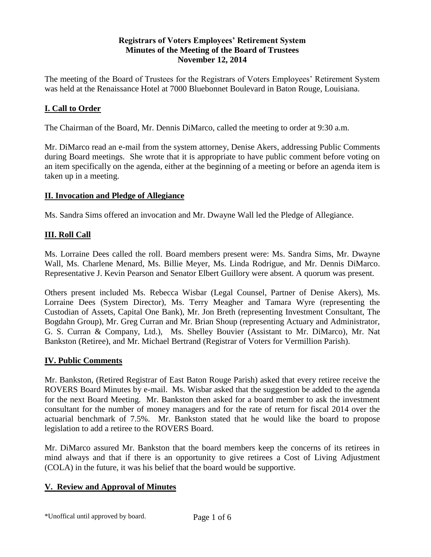### **Registrars of Voters Employees' Retirement System Minutes of the Meeting of the Board of Trustees November 12, 2014**

The meeting of the Board of Trustees for the Registrars of Voters Employees' Retirement System was held at the Renaissance Hotel at 7000 Bluebonnet Boulevard in Baton Rouge, Louisiana.

# **I. Call to Order**

The Chairman of the Board, Mr. Dennis DiMarco, called the meeting to order at 9:30 a.m.

Mr. DiMarco read an e-mail from the system attorney, Denise Akers, addressing Public Comments during Board meetings. She wrote that it is appropriate to have public comment before voting on an item specifically on the agenda, either at the beginning of a meeting or before an agenda item is taken up in a meeting.

#### **II. Invocation and Pledge of Allegiance**

Ms. Sandra Sims offered an invocation and Mr. Dwayne Wall led the Pledge of Allegiance.

### **III. Roll Call**

Ms. Lorraine Dees called the roll. Board members present were: Ms. Sandra Sims, Mr. Dwayne Wall, Ms. Charlene Menard, Ms. Billie Meyer, Ms. Linda Rodrigue, and Mr. Dennis DiMarco. Representative J. Kevin Pearson and Senator Elbert Guillory were absent. A quorum was present.

Others present included Ms. Rebecca Wisbar (Legal Counsel, Partner of Denise Akers), Ms. Lorraine Dees (System Director), Ms. Terry Meagher and Tamara Wyre (representing the Custodian of Assets, Capital One Bank), Mr. Jon Breth (representing Investment Consultant, The Bogdahn Group), Mr. Greg Curran and Mr. Brian Shoup (representing Actuary and Administrator, G. S. Curran & Company, Ltd.), Ms. Shelley Bouvier (Assistant to Mr. DiMarco), Mr. Nat Bankston (Retiree), and Mr. Michael Bertrand (Registrar of Voters for Vermillion Parish).

### **IV. Public Comments**

Mr. Bankston, (Retired Registrar of East Baton Rouge Parish) asked that every retiree receive the ROVERS Board Minutes by e-mail. Ms. Wisbar asked that the suggestion be added to the agenda for the next Board Meeting. Mr. Bankston then asked for a board member to ask the investment consultant for the number of money managers and for the rate of return for fiscal 2014 over the actuarial benchmark of 7.5%. Mr. Bankston stated that he would like the board to propose legislation to add a retiree to the ROVERS Board.

Mr. DiMarco assured Mr. Bankston that the board members keep the concerns of its retirees in mind always and that if there is an opportunity to give retirees a Cost of Living Adjustment (COLA) in the future, it was his belief that the board would be supportive.

### **V. Review and Approval of Minutes**

\*Unoffical until approved by board. Page 1 of 6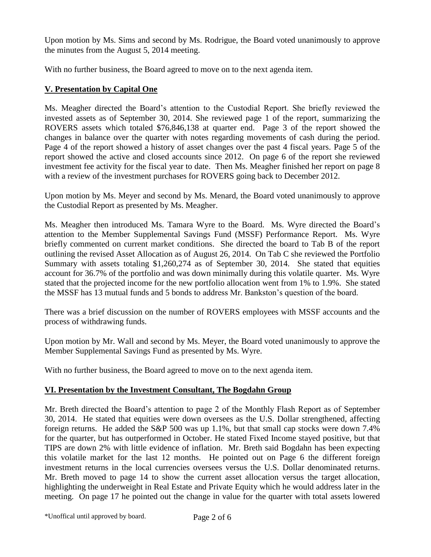Upon motion by Ms. Sims and second by Ms. Rodrigue, the Board voted unanimously to approve the minutes from the August 5, 2014 meeting.

With no further business, the Board agreed to move on to the next agenda item.

# **V. Presentation by Capital One**

Ms. Meagher directed the Board's attention to the Custodial Report. She briefly reviewed the invested assets as of September 30, 2014. She reviewed page 1 of the report, summarizing the ROVERS assets which totaled \$76,846,138 at quarter end. Page 3 of the report showed the changes in balance over the quarter with notes regarding movements of cash during the period. Page 4 of the report showed a history of asset changes over the past 4 fiscal years. Page 5 of the report showed the active and closed accounts since 2012. On page 6 of the report she reviewed investment fee activity for the fiscal year to date. Then Ms. Meagher finished her report on page 8 with a review of the investment purchases for ROVERS going back to December 2012.

Upon motion by Ms. Meyer and second by Ms. Menard, the Board voted unanimously to approve the Custodial Report as presented by Ms. Meagher.

Ms. Meagher then introduced Ms. Tamara Wyre to the Board. Ms. Wyre directed the Board's attention to the Member Supplemental Savings Fund (MSSF) Performance Report. Ms. Wyre briefly commented on current market conditions. She directed the board to Tab B of the report outlining the revised Asset Allocation as of August 26, 2014. On Tab C she reviewed the Portfolio Summary with assets totaling \$1,260,274 as of September 30, 2014. She stated that equities account for 36.7% of the portfolio and was down minimally during this volatile quarter. Ms. Wyre stated that the projected income for the new portfolio allocation went from 1% to 1.9%. She stated the MSSF has 13 mutual funds and 5 bonds to address Mr. Bankston's question of the board.

There was a brief discussion on the number of ROVERS employees with MSSF accounts and the process of withdrawing funds.

Upon motion by Mr. Wall and second by Ms. Meyer, the Board voted unanimously to approve the Member Supplemental Savings Fund as presented by Ms. Wyre.

With no further business, the Board agreed to move on to the next agenda item.

# **VI. Presentation by the Investment Consultant, The Bogdahn Group**

Mr. Breth directed the Board's attention to page 2 of the Monthly Flash Report as of September 30, 2014. He stated that equities were down oversees as the U.S. Dollar strengthened, affecting foreign returns. He added the S&P 500 was up 1.1%, but that small cap stocks were down 7.4% for the quarter, but has outperformed in October. He stated Fixed Income stayed positive, but that TIPS are down 2% with little evidence of inflation. Mr. Breth said Bogdahn has been expecting this volatile market for the last 12 months. He pointed out on Page 6 the different foreign investment returns in the local currencies oversees versus the U.S. Dollar denominated returns. Mr. Breth moved to page 14 to show the current asset allocation versus the target allocation, highlighting the underweight in Real Estate and Private Equity which he would address later in the meeting. On page 17 he pointed out the change in value for the quarter with total assets lowered

\*Unoffical until approved by board. Page 2 of 6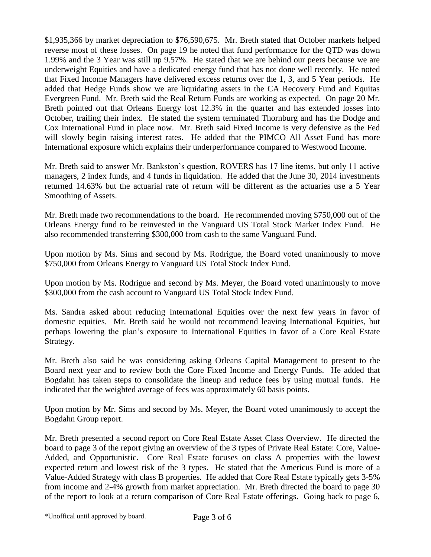\$1,935,366 by market depreciation to \$76,590,675. Mr. Breth stated that October markets helped reverse most of these losses. On page 19 he noted that fund performance for the QTD was down 1.99% and the 3 Year was still up 9.57%. He stated that we are behind our peers because we are underweight Equities and have a dedicated energy fund that has not done well recently. He noted that Fixed Income Managers have delivered excess returns over the 1, 3, and 5 Year periods. He added that Hedge Funds show we are liquidating assets in the CA Recovery Fund and Equitas Evergreen Fund. Mr. Breth said the Real Return Funds are working as expected. On page 20 Mr. Breth pointed out that Orleans Energy lost 12.3% in the quarter and has extended losses into October, trailing their index. He stated the system terminated Thornburg and has the Dodge and Cox International Fund in place now. Mr. Breth said Fixed Income is very defensive as the Fed will slowly begin raising interest rates. He added that the PIMCO All Asset Fund has more International exposure which explains their underperformance compared to Westwood Income.

Mr. Breth said to answer Mr. Bankston's question, ROVERS has 17 line items, but only 11 active managers, 2 index funds, and 4 funds in liquidation. He added that the June 30, 2014 investments returned 14.63% but the actuarial rate of return will be different as the actuaries use a 5 Year Smoothing of Assets.

Mr. Breth made two recommendations to the board. He recommended moving \$750,000 out of the Orleans Energy fund to be reinvested in the Vanguard US Total Stock Market Index Fund. He also recommended transferring \$300,000 from cash to the same Vanguard Fund.

Upon motion by Ms. Sims and second by Ms. Rodrigue, the Board voted unanimously to move \$750,000 from Orleans Energy to Vanguard US Total Stock Index Fund.

Upon motion by Ms. Rodrigue and second by Ms. Meyer, the Board voted unanimously to move \$300,000 from the cash account to Vanguard US Total Stock Index Fund.

Ms. Sandra asked about reducing International Equities over the next few years in favor of domestic equities. Mr. Breth said he would not recommend leaving International Equities, but perhaps lowering the plan's exposure to International Equities in favor of a Core Real Estate Strategy.

Mr. Breth also said he was considering asking Orleans Capital Management to present to the Board next year and to review both the Core Fixed Income and Energy Funds. He added that Bogdahn has taken steps to consolidate the lineup and reduce fees by using mutual funds. He indicated that the weighted average of fees was approximately 60 basis points.

Upon motion by Mr. Sims and second by Ms. Meyer, the Board voted unanimously to accept the Bogdahn Group report.

Mr. Breth presented a second report on Core Real Estate Asset Class Overview. He directed the board to page 3 of the report giving an overview of the 3 types of Private Real Estate: Core, Value-Added, and Opportunistic. Core Real Estate focuses on class A properties with the lowest expected return and lowest risk of the 3 types. He stated that the Americus Fund is more of a Value-Added Strategy with class B properties. He added that Core Real Estate typically gets 3-5% from income and 2-4% growth from market appreciation. Mr. Breth directed the board to page 30 of the report to look at a return comparison of Core Real Estate offerings. Going back to page 6,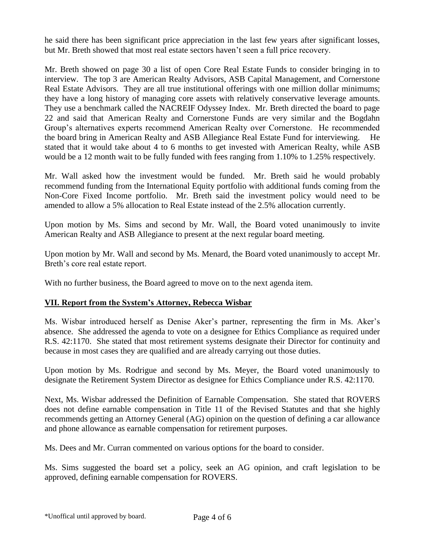he said there has been significant price appreciation in the last few years after significant losses, but Mr. Breth showed that most real estate sectors haven't seen a full price recovery.

Mr. Breth showed on page 30 a list of open Core Real Estate Funds to consider bringing in to interview. The top 3 are American Realty Advisors, ASB Capital Management, and Cornerstone Real Estate Advisors. They are all true institutional offerings with one million dollar minimums; they have a long history of managing core assets with relatively conservative leverage amounts. They use a benchmark called the NACREIF Odyssey Index. Mr. Breth directed the board to page 22 and said that American Realty and Cornerstone Funds are very similar and the Bogdahn Group's alternatives experts recommend American Realty over Cornerstone. He recommended the board bring in American Realty and ASB Allegiance Real Estate Fund for interviewing. He stated that it would take about 4 to 6 months to get invested with American Realty, while ASB would be a 12 month wait to be fully funded with fees ranging from 1.10% to 1.25% respectively.

Mr. Wall asked how the investment would be funded. Mr. Breth said he would probably recommend funding from the International Equity portfolio with additional funds coming from the Non-Core Fixed Income portfolio. Mr. Breth said the investment policy would need to be amended to allow a 5% allocation to Real Estate instead of the 2.5% allocation currently.

Upon motion by Ms. Sims and second by Mr. Wall, the Board voted unanimously to invite American Realty and ASB Allegiance to present at the next regular board meeting.

Upon motion by Mr. Wall and second by Ms. Menard, the Board voted unanimously to accept Mr. Breth's core real estate report.

With no further business, the Board agreed to move on to the next agenda item.

### **VII. Report from the System's Attorney, Rebecca Wisbar**

Ms. Wisbar introduced herself as Denise Aker's partner, representing the firm in Ms. Aker's absence. She addressed the agenda to vote on a designee for Ethics Compliance as required under R.S. 42:1170. She stated that most retirement systems designate their Director for continuity and because in most cases they are qualified and are already carrying out those duties.

Upon motion by Ms. Rodrigue and second by Ms. Meyer, the Board voted unanimously to designate the Retirement System Director as designee for Ethics Compliance under R.S. 42:1170.

Next, Ms. Wisbar addressed the Definition of Earnable Compensation. She stated that ROVERS does not define earnable compensation in Title 11 of the Revised Statutes and that she highly recommends getting an Attorney General (AG) opinion on the question of defining a car allowance and phone allowance as earnable compensation for retirement purposes.

Ms. Dees and Mr. Curran commented on various options for the board to consider.

Ms. Sims suggested the board set a policy, seek an AG opinion, and craft legislation to be approved, defining earnable compensation for ROVERS.

\*Unoffical until approved by board. Page 4 of 6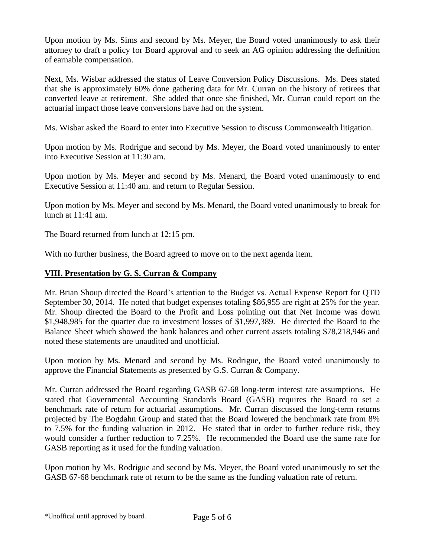Upon motion by Ms. Sims and second by Ms. Meyer, the Board voted unanimously to ask their attorney to draft a policy for Board approval and to seek an AG opinion addressing the definition of earnable compensation.

Next, Ms. Wisbar addressed the status of Leave Conversion Policy Discussions. Ms. Dees stated that she is approximately 60% done gathering data for Mr. Curran on the history of retirees that converted leave at retirement. She added that once she finished, Mr. Curran could report on the actuarial impact those leave conversions have had on the system.

Ms. Wisbar asked the Board to enter into Executive Session to discuss Commonwealth litigation.

Upon motion by Ms. Rodrigue and second by Ms. Meyer, the Board voted unanimously to enter into Executive Session at 11:30 am.

Upon motion by Ms. Meyer and second by Ms. Menard, the Board voted unanimously to end Executive Session at 11:40 am. and return to Regular Session.

Upon motion by Ms. Meyer and second by Ms. Menard, the Board voted unanimously to break for lunch at 11:41 am.

The Board returned from lunch at 12:15 pm.

With no further business, the Board agreed to move on to the next agenda item.

#### **VIII. Presentation by G. S. Curran & Company**

Mr. Brian Shoup directed the Board's attention to the Budget vs. Actual Expense Report for QTD September 30, 2014. He noted that budget expenses totaling \$86,955 are right at 25% for the year. Mr. Shoup directed the Board to the Profit and Loss pointing out that Net Income was down \$1,948,985 for the quarter due to investment losses of \$1,997,389. He directed the Board to the Balance Sheet which showed the bank balances and other current assets totaling \$78,218,946 and noted these statements are unaudited and unofficial.

Upon motion by Ms. Menard and second by Ms. Rodrigue, the Board voted unanimously to approve the Financial Statements as presented by G.S. Curran & Company.

Mr. Curran addressed the Board regarding GASB 67-68 long-term interest rate assumptions. He stated that Governmental Accounting Standards Board (GASB) requires the Board to set a benchmark rate of return for actuarial assumptions. Mr. Curran discussed the long-term returns projected by The Bogdahn Group and stated that the Board lowered the benchmark rate from 8% to 7.5% for the funding valuation in 2012. He stated that in order to further reduce risk, they would consider a further reduction to 7.25%. He recommended the Board use the same rate for GASB reporting as it used for the funding valuation.

Upon motion by Ms. Rodrigue and second by Ms. Meyer, the Board voted unanimously to set the GASB 67-68 benchmark rate of return to be the same as the funding valuation rate of return.

\*Unoffical until approved by board. Page 5 of 6